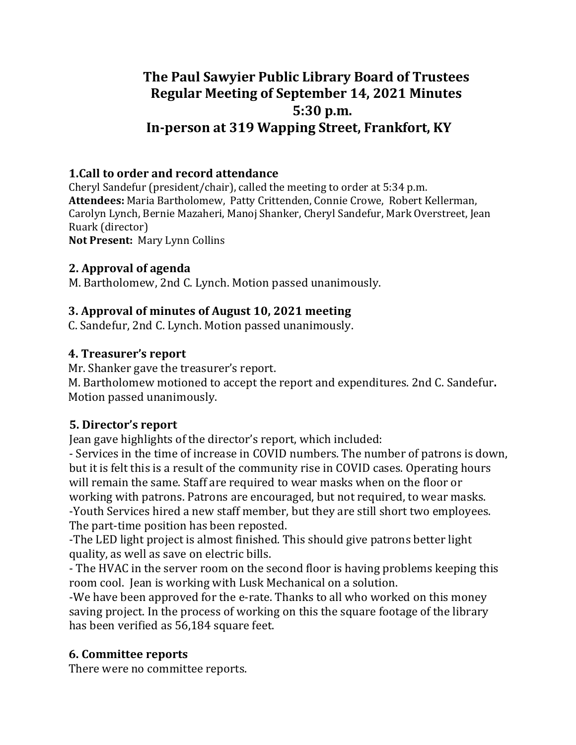# **The Paul Sawyier Public Library Board of Trustees Regular Meeting of September 14, 2021 Minutes 5:30 p.m. In-person at 319 Wapping Street, Frankfort, KY**

### **1.Call to order and record attendance**

Cheryl Sandefur (president/chair), called the meeting to order at  $5:34$  p.m. Attendees: Maria Bartholomew, Patty Crittenden, Connie Crowe, Robert Kellerman, Carolyn Lynch, Bernie Mazaheri, Manoj Shanker, Cheryl Sandefur, Mark Overstreet, Jean Ruark (director) **Not Present: Mary Lynn Collins** 

### **2. Approval of agenda**

M. Bartholomew, 2nd C. Lynch. Motion passed unanimously.

# **3. Approval of minutes of August 10, 2021 meeting**

C. Sandefur, 2nd C. Lynch. Motion passed unanimously.

# **4. Treasurer's report**

Mr. Shanker gave the treasurer's report.

M. Bartholomew motioned to accept the report and expenditures. 2nd C. Sandefur. Motion passed unanimously.

# **5. Director's report**

Jean gave highlights of the director's report, which included:

- Services in the time of increase in COVID numbers. The number of patrons is down, but it is felt this is a result of the community rise in COVID cases. Operating hours will remain the same. Staff are required to wear masks when on the floor or working with patrons. Patrons are encouraged, but not required, to wear masks. -Youth Services hired a new staff member, but they are still short two employees. The part-time position has been reposted.

-The LED light project is almost finished. This should give patrons better light quality, as well as save on electric bills.

- The HVAC in the server room on the second floor is having problems keeping this room cool. Jean is working with Lusk Mechanical on a solution.

-We have been approved for the e-rate. Thanks to all who worked on this money saving project. In the process of working on this the square footage of the library has been verified as 56,184 square feet.

# **6. Committee reports**

There were no committee reports.